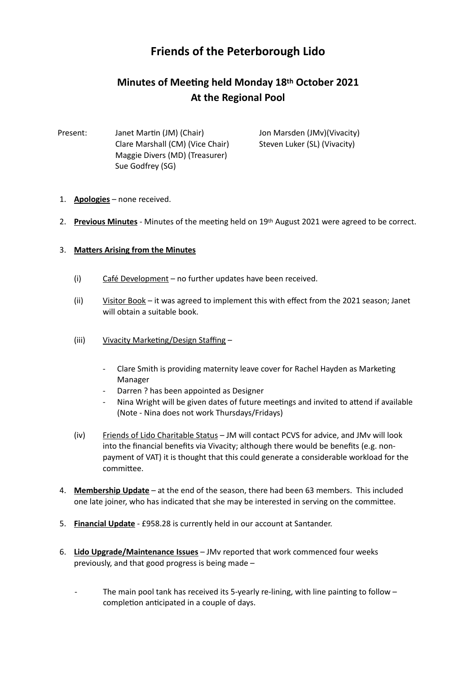## **Friends of the Peterborough Lido**

## **Minutes of Meeting held Monday 18th October 2021 At the Regional Pool**

Present: Janet Martin (JM) (Chair) Jon Marsden (JMv)(Vivacity) Clare Marshall (CM) (Vice Chair) Steven Luker (SL) (Vivacity) Maggie Divers (MD) (Treasurer) Sue Godfrey (SG)

- 1. **Apologies** none received.
- 2. **Previous Minutes** Minutes of the meeting held on 19<sup>th</sup> August 2021 were agreed to be correct.

## 3. Matters Arising from the Minutes

- (i) Café Development no further updates have been received.
- (ii) Visitor Book it was agreed to implement this with effect from the 2021 season; Janet will obtain a suitable book.
- (iii) Vivacity Marketing/Design Staffing
	- Clare Smith is providing maternity leave cover for Rachel Hayden as Marketing Manager
	- Darren ? has been appointed as Designer
	- Nina Wright will be given dates of future meetings and invited to attend if available (Note - Nina does not work Thursdays/Fridays)
- (iv) Friends of Lido Charitable Status JM will contact PCVS for advice, and JMv will look into the financial benefits via Vivacity; although there would be benefits (e.g. nonpayment of VAT) it is thought that this could generate a considerable workload for the committee.
- 4. **Membership Update** at the end of the season, there had been 63 members. This included one late joiner, who has indicated that she may be interested in serving on the committee.
- 5. **Financial Update** £958.28 is currently held in our account at Santander.
- 6. **Lido Upgrade/Maintenance Issues** JMv reported that work commenced four weeks previously, and that good progress is being made –
	- The main pool tank has received its 5-yearly re-lining, with line painting to follow completion anticipated in a couple of days.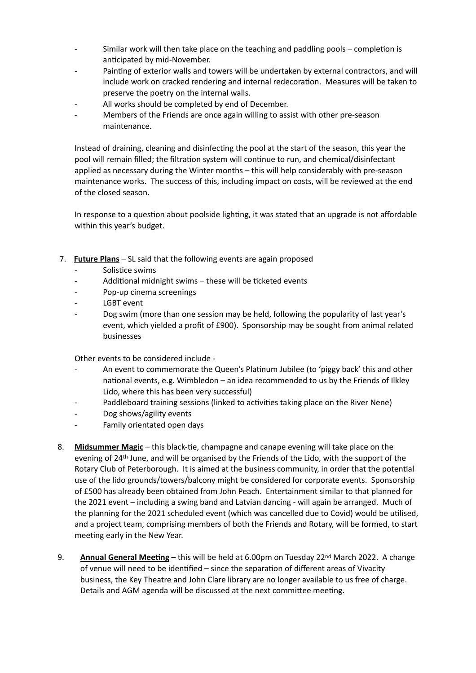- Similar work will then take place on the teaching and paddling pools  $-$  completion is anticipated by mid-November.
- Painting of exterior walls and towers will be undertaken by external contractors, and will include work on cracked rendering and internal redecoration. Measures will be taken to preserve the poetry on the internal walls.
- All works should be completed by end of December.
- Members of the Friends are once again willing to assist with other pre-season maintenance.

Instead of draining, cleaning and disinfecting the pool at the start of the season, this year the pool will remain filled; the filtration system will continue to run, and chemical/disinfectant applied as necessary during the Winter months – this will help considerably with pre-season maintenance works. The success of this, including impact on costs, will be reviewed at the end of the closed season.

In response to a question about poolside lighting, it was stated that an upgrade is not affordable within this year's budget.

- 7. **Future Plans** SL said that the following events are again proposed
	- Solistice swims
	- Additional midnight swims these will be ticketed events
	- Pop-up cinema screenings
	- LGBT event
	- Dog swim (more than one session may be held, following the popularity of last year's event, which yielded a profit of £900). Sponsorship may be sought from animal related businesses

Other events to be considered include -

- An event to commemorate the Queen's Platinum Jubilee (to 'piggy back' this and other national events, e.g. Wimbledon – an idea recommended to us by the Friends of Ilkley Lido, where this has been very successful)
- Paddleboard training sessions (linked to activities taking place on the River Nene)
- Dog shows/agility events
- Family orientated open days
- 8. Midsummer Magic this black-tie, champagne and canape evening will take place on the evening of 24th June, and will be organised by the Friends of the Lido, with the support of the Rotary Club of Peterborough. It is aimed at the business community, in order that the potential use of the lido grounds/towers/balcony might be considered for corporate events. Sponsorship of £500 has already been obtained from John Peach. Entertainment similar to that planned for the 2021 event – including a swing band and Latvian dancing - will again be arranged. Much of the planning for the 2021 scheduled event (which was cancelled due to Covid) would be utilised, and a project team, comprising members of both the Friends and Rotary, will be formed, to start meeting early in the New Year.
- 9. **Annual General Meeting** this will be held at 6.00pm on Tuesday 22<sup>nd</sup> March 2022. A change of venue will need to be identified – since the separation of different areas of Vivacity business, the Key Theatre and John Clare library are no longer available to us free of charge. Details and AGM agenda will be discussed at the next committee meeting.